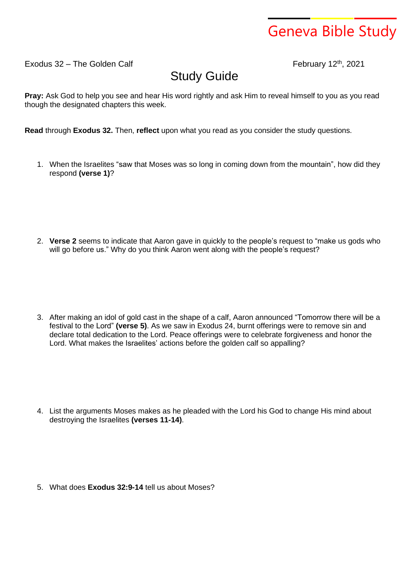## Geneva Bible Study

Exodus  $32$  – The Golden Calf

February 12<sup>th</sup>, 2021

Study Guide

**Pray:** Ask God to help you see and hear His word rightly and ask Him to reveal himself to you as you read though the designated chapters this week.

**Read** through **Exodus 32.** Then, **reflect** upon what you read as you consider the study questions.

1. When the Israelites "saw that Moses was so long in coming down from the mountain", how did they respond **(verse 1)**?

2. **Verse 2** seems to indicate that Aaron gave in quickly to the people's request to "make us gods who will go before us." Why do you think Aaron went along with the people's request?

3. After making an idol of gold cast in the shape of a calf, Aaron announced "Tomorrow there will be a festival to the Lord" **(verse 5)**. As we saw in Exodus 24, burnt offerings were to remove sin and declare total dedication to the Lord. Peace offerings were to celebrate forgiveness and honor the Lord. What makes the Israelites' actions before the golden calf so appalling?

4. List the arguments Moses makes as he pleaded with the Lord his God to change His mind about destroying the Israelites **(verses 11-14)**.

5. What does **Exodus 32:9-14** tell us about Moses?